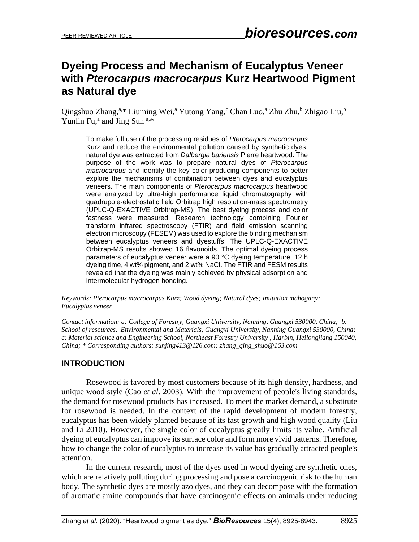# **Dyeing Process and Mechanism of Eucalyptus Veneer with** *Pterocarpus macrocarpus* **Kurz Heartwood Pigment as Natural dye**

Qingshuo Zhang,<sup>a,\*</sup> Liuming Wei,<sup>a</sup> Yutong Yang,<sup>c</sup> Chan Luo,<sup>a</sup> Zhu Zhu,<sup>b</sup> Zhigao Liu,<sup>b</sup> Yunlin Fu,<sup>a</sup> and Jing Sun<sup>a,\*</sup>

To make full use of the processing residues of *Pterocarpus macrocarpus* Kurz and reduce the environmental pollution caused by synthetic dyes, natural dye was extracted from *Dalbergia bariensis* Pierre heartwood. The purpose of the work was to prepare natural dyes of *Pterocarpus macrocarpus* and identify the key color-producing components to better explore the mechanisms of combination between dyes and eucalyptus veneers. The main components of *Pterocarpus macrocarpus* heartwood were analyzed by ultra-high performance liquid chromatography with quadrupole-electrostatic field Orbitrap high resolution-mass spectrometry (UPLC-Q-EXACTIVE Orbitrap-MS). The best dyeing process and color fastness were measured. Research technology combining Fourier transform infrared spectroscopy (FTIR) and field emission scanning electron microscopy (FESEM) was used to explore the binding mechanism between eucalyptus veneers and dyestuffs. The UPLC-Q-EXACTIVE Orbitrap-MS results showed 16 flavonoids. The optimal dyeing process parameters of eucalyptus veneer were a 90 °C dyeing temperature, 12 h dyeing time, 4 wt% pigment, and 2 wt% NaCl. The FTIR and FESM results revealed that the dyeing was mainly achieved by physical adsorption and intermolecular hydrogen bonding.

*Keywords: Pterocarpus macrocarpus Kurz; Wood dyeing; Natural dyes; Imitation mahogany; Eucalyptus veneer*

*Contact information: a: College of Forestry, Guangxi University, Nanning, Guangxi 530000, China; b: School of resources, Environmental and Materials, Guangxi University, Nanning Guangxi 530000, China; c: Material science and Engineering School, Northeast Forestry University , Harbin, Heilongjiang 150040, China; \* Corresponding authors: [sunjing413@126.com;](mailto:sunjing413@126.com) zhang\_qing\_shuo@163.com*

# **INTRODUCTION**

Rosewood is favored by most customers because of its high density, hardness, and unique wood style (Cao *et al*. 2003). With the improvement of people's living standards, the demand for rosewood products has increased. To meet the market demand, a substitute for rosewood is needed. In the context of the rapid development of modern forestry, eucalyptus has been widely planted because of its fast growth and high wood quality (Liu and Li 2010). However, the single color of eucalyptus greatly limits its value. Artificial dyeing of eucalyptus can improve its surface color and form more vivid patterns. Therefore, how to change the color of eucalyptus to increase its value has gradually attracted people's attention.

In the current research, most of the dyes used in wood dyeing are synthetic ones, which are relatively polluting during processing and pose a carcinogenic risk to the human body. The synthetic dyes are mostly azo dyes, and they can decompose with the formation of aromatic amine compounds that have carcinogenic effects on animals under reducing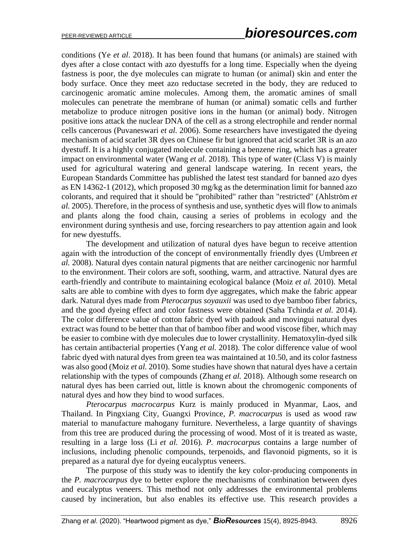conditions (Ye *et al*. 2018). It has been found that humans (or animals) are stained with dyes after a close contact with azo dyestuffs for a long time. Especially when the dyeing fastness is poor, the dye molecules can migrate to human (or animal) skin and enter the body surface. Once they meet azo reductase secreted in the body, they are reduced to carcinogenic aromatic amine molecules. Among them, the aromatic amines of small molecules can penetrate the membrane of human (or animal) somatic cells and further metabolize to produce nitrogen positive ions in the human (or animal) body. Nitrogen positive ions attack the nuclear DNA of the cell as a strong electrophile and render normal cells cancerous (Puvaneswari *et al.* 2006). Some researchers have investigated the dyeing mechanism of acid scarlet 3R dyes on Chinese fir but ignored that acid scarlet 3R is an azo dyestuff. It is a highly conjugated molecule containing a benzene ring, which has a greater impact on environmental water (Wang *et al.* 2018). This type of water (Class V) is mainly used for agricultural watering and general landscape watering. In recent years, the European Standards Committee has published the latest test standard for banned azo dyes as EN 14362-1 (2012), which proposed 30 mg/kg as the determination limit for banned azo colorants, and required that it should be "prohibited" rather than "restricted" (Ahlström *et al.* 2005). Therefore, in the process of synthesis and use, synthetic dyes will flow to animals and plants along the food chain, causing a series of problems in ecology and the environment during synthesis and use, forcing researchers to pay attention again and look for new dyestuffs.

The development and utilization of natural dyes have begun to receive attention again with the introduction of the concept of environmentally friendly dyes (Umbreen *et al.* 2008). Natural dyes contain natural pigments that are neither carcinogenic nor harmful to the environment. Their colors are soft, soothing, warm, and attractive. Natural dyes are earth-friendly and contribute to maintaining ecological balance (Moiz *et al.* 2010). Metal salts are able to combine with dyes to form dye aggregates, which make the fabric appear dark. Natural dyes made from *Pterocarpus soyauxii* was used to dye bamboo fiber fabrics, and the good dyeing effect and color fastness were obtained (Saha Tchinda *et al.* 2014). The color difference value of cotton fabric dyed with padouk and movingui natural dyes extract was found to be better than that of bamboo fiber and wood viscose fiber, which may be easier to combine with dye molecules due to lower crystallinity. Hematoxylin-dyed silk has certain antibacterial properties (Yang *et al.* 2018). The color difference value of wool fabric dyed with natural dyes from green tea was maintained at 10.50, and its color fastness was also good (Moiz *et al.* 2010). Some studies have shown that natural dyes have a certain relationship with the types of compounds (Zhang *et al.* 2018). Although some research on natural dyes has been carried out, little is known about the chromogenic components of natural dyes and how they bind to wood surfaces.

*Pterocarpus macrocarpus* Kurz is mainly produced in Myanmar, Laos, and Thailand. In Pingxiang City, Guangxi Province, *P. macrocarpus* is used as wood raw material to manufacture mahogany furniture. Nevertheless, a large quantity of shavings from this tree are produced during the processing of wood. Most of it is treated as waste, resulting in a large loss (Li *et al.* 2016). *P. macrocarpus* contains a large number of inclusions, including phenolic compounds, terpenoids, and flavonoid pigments, so it is prepared as a natural dye for dyeing eucalyptus veneers.

The purpose of this study was to identify the key color-producing components in the *P. macrocarpus* dye to better explore the mechanisms of combination between dyes and eucalyptus veneers. This method not only addresses the environmental problems caused by incineration, but also enables its effective use. This research provides a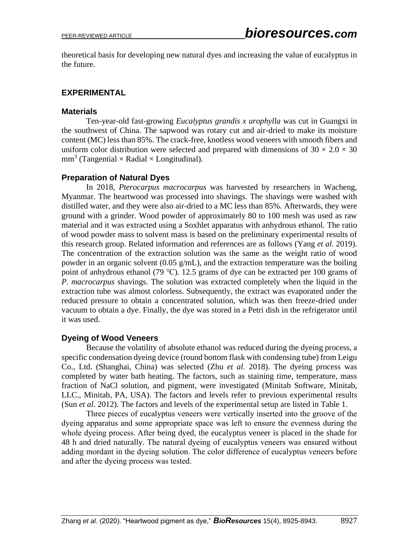theoretical basis for developing new natural dyes and increasing the value of eucalyptus in the future.

# **EXPERIMENTAL**

#### **Materials**

Ten-year-old fast-growing *Eucalyptus grandis x urophylla* was cut in Guangxi in the southwest of China. The sapwood was rotary cut and air-dried to make its moisture content (MC) less than 85%. The crack-free, knotless wood veneers with smooth fibers and uniform color distribution were selected and prepared with dimensions of  $30 \times 2.0 \times 30$  $mm<sup>3</sup>$  (Tangential  $\times$  Radial  $\times$  Longitudinal).

# **Preparation of Natural Dyes**

In 2018, *Pterocarpus macrocarpus* was harvested by researchers in Wacheng, Myanmar. The heartwood was processed into shavings. The shavings were washed with distilled water, and they were also air-dried to a MC less than 85%. Afterwards, they were ground with a grinder. Wood powder of approximately 80 to 100 mesh was used as raw material and it was extracted using a Soxhlet apparatus with anhydrous ethanol. The ratio of wood powder mass to solvent mass is based on the preliminary experimental results of this research group. Related information and references are as follows (Yang *et al*. 2019). The concentration of the extraction solution was the same as the weight ratio of wood powder in an organic solvent  $(0.05 \text{ g/mL})$ , and the extraction temperature was the boiling point of anhydrous ethanol (79 ℃). 12.5 grams of dye can be extracted per 100 grams of *P. macrocarpus* shavings. The solution was extracted completely when the liquid in the extraction tube was almost colorless. Subsequently, the extract was evaporated under the reduced pressure to obtain a concentrated solution, which was then freeze-dried under vacuum to obtain a dye. Finally, the dye was stored in a Petri dish in the refrigerator until it was used.

# **Dyeing of Wood Veneers**

Because the volatility of absolute ethanol was reduced during the dyeing process, a specific condensation dyeing device (round bottom flask with condensing tube) from Leigu Co., Ltd. (Shanghai, China) was selected (Zhu *et al*. 2018). The dyeing process was completed by water bath heating. The factors, such as staining time, temperature, mass fraction of NaCl solution, and pigment, were investigated (Minitab Software, Minitab, LLC., Minitab, PA, USA). The factors and levels refer to previous experimental results (Sun *et al*. 2012). The factors and levels of the experimental setup are listed in Table 1.

Three pieces of eucalyptus veneers were vertically inserted into the groove of the dyeing apparatus and some appropriate space was left to ensure the evenness during the whole dyeing process. After being dyed, the eucalyptus veneer is placed in the shade for 48 h and dried naturally. The natural dyeing of eucalyptus veneers was ensured without adding mordant in the dyeing solution. The color difference of eucalyptus veneers before and after the dyeing process was tested.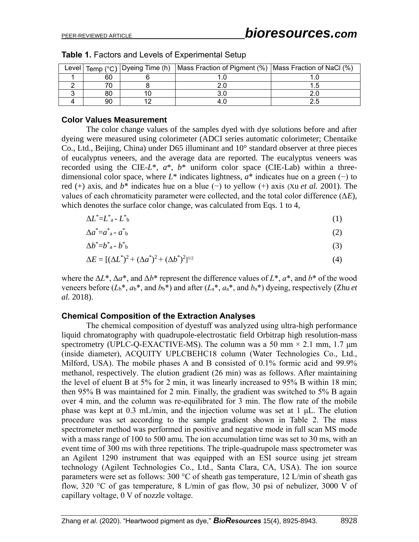|    | Level   Temp (°C)   Dyeing Time (h)   Mass Fraction of Pigment (%)   Mass Fraction of NaCl (%) |  |
|----|------------------------------------------------------------------------------------------------|--|
| 60 |                                                                                                |  |
|    |                                                                                                |  |
| 80 |                                                                                                |  |
| 90 |                                                                                                |  |

**Table 1.** Factors and Levels of Experimental Setup

#### **Color Values Measurement**

The color change values of the samples dyed with dye solutions before and after dyeing were measured using colorimeter (ADCI series automatic colorimeter; Chentaike Co., Ltd., Beijing, China) under D65 illuminant and 10° standard observer at three pieces of eucalyptus *v*eneers, and the average data are reported. The eucalyptus veneers was recorded using the CIE- $L^*$ ,  $a^*$ ,  $b^*$  uniform color space (CIE-Lab) within a threedimensional color space, where  $L^*$  indicates lightness,  $a^*$  indicates hue on a green (−) to red (+) axis, and *b*\* indicates hue on a blue (−) to yellow (+) axis (Xu *et al.* 2001). The values of each chromaticity parameter were collected, and the total color difference (Δ*E*), which denotes the surface color change, was calculated from Eqs. 1 to 4,

$$
\Delta L^* = L^* - L^* \tag{1}
$$

$$
\Delta a^* = a^* a \cdot a^* b \tag{2}
$$

$$
\Delta b^* = b^* a - b^* b \tag{3}
$$

$$
\Delta E = [(\Delta L^*)^2 + (\Delta a^*)^2 + (\Delta b^*)^2]^{1/2} \tag{4}
$$

where the Δ*L*\*, Δ*a*\*, and Δ*b*\* represent the difference values of *L*\*, *a*\*, and *b*\* of the wood veneers before ( $L_b^*$ ,  $a_b^*$ , and  $b_b^*$ ) and after ( $L_a^*$ ,  $a_a^*$ , and  $b_a^*$ ) dyeing, respectively (Zhu *et al.* 2018).

#### **Chemical Composition of the Extraction Analyses**

The chemical composition of dyestuff was analyzed using ultra-high performance liquid chromatography with quadrupole-electrostatic field Orbitrap high resolution-mass spectrometry (UPLC-O-EXACTIVE-MS). The column was a 50 mm  $\times$  2.1 mm, 1.7 µm (inside diameter), ACQUITY UPLCBEHC18 column (Water Technologies Co., Ltd., Milford, USA). The mobile phases A and B consisted of 0.1% formic acid and 99.9% methanol, respectively. The elution gradient (26 min) was as follows. After maintaining the level of eluent B at 5% for 2 min, it was linearly increased to 95% B within 18 min; then 95% B was maintained for 2 min. Finally, the gradient was switched to 5% B again over 4 min, and the column was re-equilibrated for 3 min. The flow rate of the mobile phase was kept at 0.3 mL/min, and the injection volume was set at 1 μL. The elution procedure was set according to the sample gradient shown in Table 2. The mass spectrometer method was performed in positive and negative mode in full scan MS mode with a mass range of 100 to 500 amu. The ion accumulation time was set to 30 ms, with an event time of 300 ms with three repetitions. The triple-quadrupole mass spectrometer was an Agilent 1290 instrument that was equipped with an ESI source using jet stream technology (Agilent Technologies Co., Ltd., Santa Clara, CA, USA). The ion source parameters were set as follows: 300 °C of sheath gas temperature, 12 L/min of sheath gas flow, 320 °C of gas temperature, 8 L/min of gas flow, 30 psi of nebulizer, 3000 V of capillary voltage, 0 V of nozzle voltage.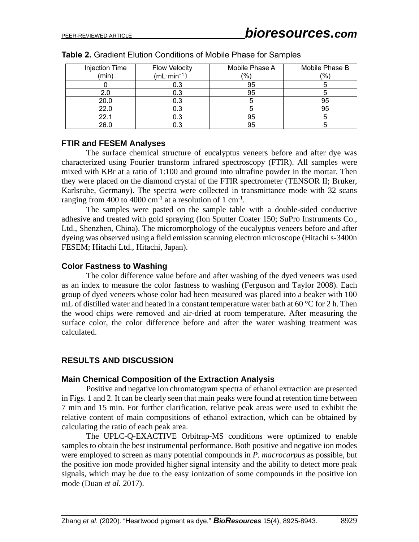| Injection Time | <b>Flow Velocity</b> | Mobile Phase A | Mobile Phase B |
|----------------|----------------------|----------------|----------------|
| (min)          | $(mL·min-1)$         | $(\%)$         | (%)            |
|                | 0.3                  | 95             |                |
| 2.0            | 0.3                  | 95             |                |
| 20.0           | 0.3                  |                | 95             |
| 22.0           | 0.3                  |                | 95             |
| 22.1           | 0.3                  | 95             |                |
| 26.0           |                      | 95             |                |

#### **Table 2.** Gradient Elution Conditions of Mobile Phase for Samples

#### **FTIR and FESEM Analyses**

The surface chemical structure of eucalyptus veneers before and after dye was characterized using Fourier transform infrared spectroscopy (FTIR). All samples were mixed with KBr at a ratio of 1:100 and ground into ultrafine powder in the mortar. Then they were placed on the diamond crystal of the FTIR spectrometer (TENSOR Ⅱ; Bruker, Karlsruhe, Germany). The spectra were collected in transmittance mode with 32 scans ranging from 400 to 4000  $\text{cm}^{-1}$  at a resolution of 1  $\text{cm}^{-1}$ .

The samples were pasted on the sample table with a double-sided conductive adhesive and treated with gold spraying (Ion Sputter Coater 150; SuPro Instruments Co., Ltd., Shenzhen, China). The micromorphology of the eucalyptus veneers before and after dyeing was observed using a field emission scanning electron microscope (Hitachi s-3400n FESEM; Hitachi Ltd., Hitachi, Japan).

#### **Color Fastness to Washing**

The color difference value before and after washing of the dyed veneers was used as an index to measure the color fastness to washing (Ferguson and Taylor 2008). Each group of dyed veneers whose color had been measured was placed into a beaker with 100 mL of distilled water and heated in a constant temperature water bath at 60  $^{\circ}$ C for 2 h. Then the wood chips were removed and air-dried at room temperature. After measuring the surface color, the color difference before and after the water washing treatment was calculated.

# **RESULTS AND DISCUSSION**

# **Main Chemical Composition of the Extraction Analysis**

Positive and negative ion chromatogram spectra of ethanol extraction are presented in Figs. 1 and 2. It can be clearly seen that main peaks were found at retention time between 7 min and 15 min. For further clarification, relative peak areas were used to exhibit the relative content of main compositions of ethanol extraction, which can be obtained by calculating the ratio of each peak area.

The UPLC-Q-EXACTIVE Orbitrap-MS conditions were optimized to enable samples to obtain the best instrumental performance. Both positive and negative ion modes were employed to screen as many potential compounds in *P. macrocarpus* as possible, but the positive ion mode provided higher signal intensity and the ability to detect more peak signals, which may be due to the easy ionization of some compounds in the positive ion mode (Duan *et al.* 2017).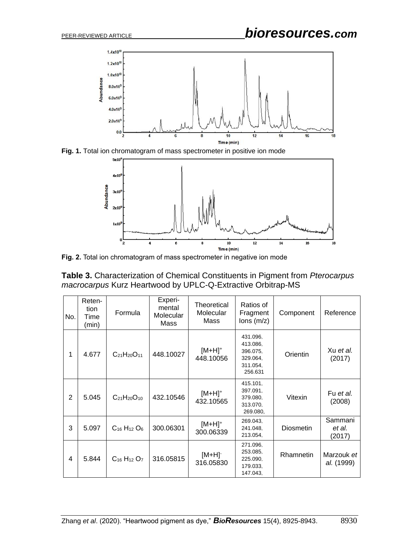

Fig. 1. Total ion chromatogram of mass spectrometer in positive ion mode



**Fig. 2.** Total ion chromatogram of mass spectrometer in negative ion mode

**Table 3.** Characterization of Chemical Constituents in Pigment from *Pterocarpus macrocarpus* Kurz Heartwood by UPLC-Q-Extractive Orbitrap-MS

| No. | Reten-<br>tion<br>Time<br>(min) | Formula                                 | Experi-<br>mental<br>Molecular<br>Mass | Theoretical<br>Molecular<br>Mass | Ratios of<br>Fragment<br>$lons$ (m/z)                               | Component        | Reference                   |
|-----|---------------------------------|-----------------------------------------|----------------------------------------|----------------------------------|---------------------------------------------------------------------|------------------|-----------------------------|
| 1   | 4.677                           | $C_{21}H_{20}O_{11}$                    | 448.10027                              | $[M+H]^+$<br>448.10056           | 431.096.<br>413.086,<br>396.075.<br>329.064,<br>311.054,<br>256.631 | Orientin         | Xu et al.<br>(2017)         |
| 2   | 5.045                           | $C_{21}H_{20}O_{10}$                    | 432.10546                              | $[M+H]^+$<br>432.10565           | 415.101.<br>397.091.<br>379.080.<br>313.070.<br>269.080,            | Vitexin          | Fu et al.<br>(2008)         |
| 3   | 5.097                           | $C_{16}$ H <sub>12</sub> O <sub>6</sub> | 300.06301                              | $[M+H]^+$<br>300.06339           | 269.043.<br>241.048.<br>213.054,                                    | <b>Diosmetin</b> | Sammani<br>et al.<br>(2017) |
| 4   | 5.844                           | $C_{16}H_{12}O_7$                       | 316.05815                              | $[M+H]$<br>316.05830             | 271.096.<br>253.085.<br>225.090.<br>179.033.<br>147.043.            | Rhamnetin        | Marzouk et<br>al. (1999)    |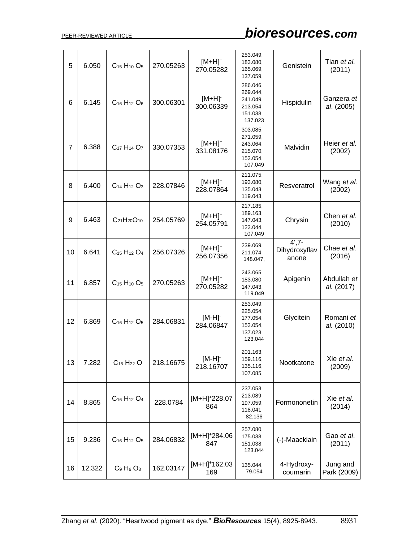# PEER-REVIEWED ARTICLE *bioresources.com*

| 5  | 6.050  | $C_{15}H_{10}O_5$                              | 270.05263 | $[M+H]^+$<br>270.05282           | 253.049,<br>183.080,<br>165.069.<br>137.059,                        | Genistein                           | Tian et al.<br>(2011)     |
|----|--------|------------------------------------------------|-----------|----------------------------------|---------------------------------------------------------------------|-------------------------------------|---------------------------|
| 6  | 6.145  | $C_{16}H_{12}O_6$                              | 300.06301 | $[M+H]$<br>300.06339             | 286.046.<br>269.044,<br>241.049.<br>213.054,<br>151.038,<br>137.023 | Hispidulin                          | Ganzera et<br>al. (2005)  |
| 7  | 6.388  | C <sub>17</sub> H <sub>14</sub> O <sub>7</sub> | 330.07353 | $[M+H]^+$<br>331.08176           | 303.085,<br>271.059.<br>243.064,<br>215.070,<br>153.054,<br>107.049 | Malvidin                            | Heier et al.<br>(2002)    |
| 8  | 6.400  | $C_{14}H_{12}O_3$                              | 228.07846 | $[M+H]^+$<br>228.07864           | 211.075,<br>193.080,<br>135.043,<br>119.043,                        | Resveratrol                         | Wang et al.<br>(2002)     |
| 9  | 6.463  | $C_{21}H_{20}O_{10}$                           | 254.05769 | $[M+H]^+$<br>254.05791           | 217.185,<br>189.163,<br>147.043,<br>123.044,<br>107.049             | Chrysin                             | Chen et al.<br>(2010)     |
| 10 | 6.641  | $C_{15}H_{12}O_4$                              | 256.07326 | $[M+H]^+$<br>256.07356           | 239.069.<br>211.074,<br>148.047,                                    | $4', 7 -$<br>Dihydroxyflav<br>anone | Chae et al.<br>(2016)     |
| 11 | 6.857  | $C_{15}H_{10}O_5$                              | 270.05263 | $[M+H]^+$<br>270.05282           | 243.065,<br>183.080,<br>147.043.<br>119.049                         | Apigenin                            | Abdullah et<br>al. (2017) |
| 12 | 6.869  | $C_{16}H_{12}O_5$                              | 284.06831 | [M-H] <sup>-</sup><br>284.06847  | 253.049,<br>225.054,<br>177.054,<br>153.054,<br>137.023,<br>123.044 | Glycitein                           | Romani et<br>al. (2010)   |
| 13 | 7.282  | $C_{15}H_{22}O$                                | 218.16675 | $[M-H]$<br>218.16707             | 201.163,<br>159.116,<br>135.116,<br>107.085,                        | Nootkatone                          | Xie et al.<br>(2009)      |
| 14 | 8.865  | $C_{16}H_{12}O_4$                              | 228.0784  | $[M+H]^+228.07$<br>864           | 237.053,<br>213.089,<br>197.059,<br>118.041,<br>82.136              | Formononetin                        | Xie et al.<br>(2014)      |
| 15 | 9.236  | $C_{16}H_{12}O_5$                              | 284.06832 | [M+H] <sup>+</sup> 284.06<br>847 | 257.080,<br>175.038,<br>151.038,<br>123.044                         | (-)-Maackiain                       | Gao et al.<br>(2011)      |
| 16 | 12.322 | $C_9$ H <sub>6</sub> $O_3$                     | 162.03147 | $[M+H]^+$ 162.03<br>169          | 135.044,<br>79.054                                                  | 4-Hydroxy-<br>coumarin              | Jung and<br>Park (2009)   |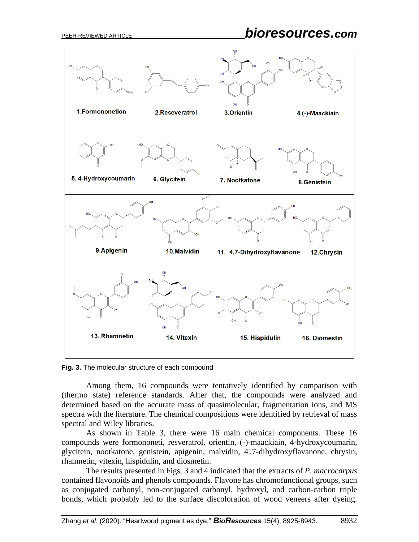

**Fig. 3.** The molecular structure of each compound

Among them, 16 compounds were tentatively identified by comparison with (thermo state) reference standards. After that, the compounds were analyzed and determined based on the accurate mass of quasimolecular, fragmentation ions, and MS spectra with the literature. The chemical compositions were identified by retrieval of mass spectral and Wiley libraries.

As shown in Table 3, there were 16 main chemical components. These 16 compounds were formononeti, resveratrol, orientin, (-)-maackiain, 4-hydroxycoumarin, glycitein, nootkatone, genistein, apigenin, malvidin, 4',7-dihydroxyflavanone, chrysin, rhamnetin, vitexin, hispidulin, and diosmetin.

The results presented in Figs. 3 and 4 indicated that the extracts of *P. macrocarpus*  contained flavonoids and phenols compounds. Flavone has chromofunctional groups, such as conjugated carbonyl, non-conjugated carbonyl, hydroxyl, and carbon-carbon triple bonds, which probably led to the surface discoloration of wood veneers after dyeing.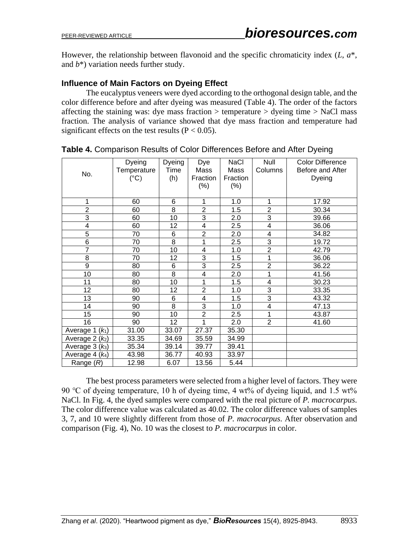However, the relationship between flavonoid and the specific chromaticity index (*L*, *a*\*, and *b*\*) variation needs further study.

# **Influence of Main Factors on Dyeing Effect**

The eucalyptus veneers were dyed according to the orthogonal design table, and the color difference before and after dyeing was measured (Table 4). The order of the factors affecting the staining was: dye mass fraction  $>$  temperature  $>$  dyeing time  $>$  NaCl mass fraction. The analysis of variance showed that dye mass fraction and temperature had significant effects on the test results ( $P < 0.05$ ).

| No.               | Dyeing<br>Temperature<br>$(^{\circ}C)$ | Dyeing<br>Time<br>(h) | Dye<br>Mass<br>Fraction<br>(% ) | <b>NaCl</b><br>Mass<br>Fraction<br>$(\% )$ | Null<br>Columns         | <b>Color Difference</b><br>Before and After<br>Dyeing |
|-------------------|----------------------------------------|-----------------------|---------------------------------|--------------------------------------------|-------------------------|-------------------------------------------------------|
| 1                 | 60                                     | 6                     | 1                               | 1.0                                        | 1                       | 17.92                                                 |
| $\overline{2}$    | 60                                     | 8                     | $\overline{2}$                  | 1.5                                        | $\overline{2}$          | 30.34                                                 |
| $\overline{3}$    | 60                                     | 10                    | 3                               | 2.0                                        | 3                       | 39.66                                                 |
| 4                 | 60                                     | 12                    | $\overline{\mathbf{4}}$         | 2.5                                        | $\overline{\mathbf{4}}$ | 36.06                                                 |
| $\overline{5}$    | 70                                     | 6                     | $\overline{2}$                  | 2.0                                        | $\overline{\mathbf{4}}$ | 34.82                                                 |
| 6                 | 70                                     | 8                     | 1                               | 2.5                                        | 3                       | 19.72                                                 |
| $\overline{7}$    | 70                                     | 10                    | 4                               | 1.0                                        | $\overline{2}$          | 42.79                                                 |
| 8                 | 70                                     | 12                    | 3                               | 1.5                                        | 1                       | 36.06                                                 |
| $\overline{9}$    | 80                                     | 6                     | $\overline{3}$                  | 2.5                                        | $\overline{2}$          | 36.22                                                 |
| 10                | 80                                     | $\overline{8}$        | $\overline{4}$                  | 2.0                                        | 1                       | 41.56                                                 |
| 11                | 80                                     | 10                    | 1                               | 1.5                                        | $\overline{\mathbf{4}}$ | 30.23                                                 |
| 12                | 80                                     | 12                    | $\overline{2}$                  | 1.0                                        | 3                       | 33.35                                                 |
| 13                | 90                                     | 6                     | 4                               | 1.5                                        | 3                       | 43.32                                                 |
| 14                | 90                                     | 8                     | 3                               | 1.0                                        | $\overline{\mathbf{4}}$ | 47.13                                                 |
| 15                | 90                                     | 10                    | $\overline{2}$                  | 2.5                                        | 1                       | 43.87                                                 |
| 16                | 90                                     | 12                    | 1                               | 2.0                                        | $\overline{2}$          | 41.60                                                 |
| Average 1 $(k_1)$ | 31.00                                  | 33.07                 | 27.37                           | 35.30                                      |                         |                                                       |
| Average $2 (k_2)$ | 33.35                                  | 34.69                 | 35.59                           | 34.99                                      |                         |                                                       |
| Average $3 (k_3)$ | 35.34                                  | 39.14                 | 39.77                           | 39.41                                      |                         |                                                       |
| Average $4(k_4)$  | 43.98                                  | 36.77                 | 40.93                           | 33.97                                      |                         |                                                       |
| Range $(R)$       | 12.98                                  | 6.07                  | 13.56                           | 5.44                                       |                         |                                                       |

**Table 4.** Comparison Results of Color Differences Before and After Dyeing

The best process parameters were selected from a higher level of factors. They were 90 °C of dyeing temperature, 10 h of dyeing time, 4 wt% of dyeing liquid, and 1.5 wt% NaCl. In Fig. 4, the dyed samples were compared with the real picture of *P. macrocarpus*. The color difference value was calculated as 40.02. The color difference values of samples 3, 7, and 10 were slightly different from those of *P. macrocarpus*. After observation and comparison (Fig. 4), No. 10 was the closest to *P. macrocarpus* in color.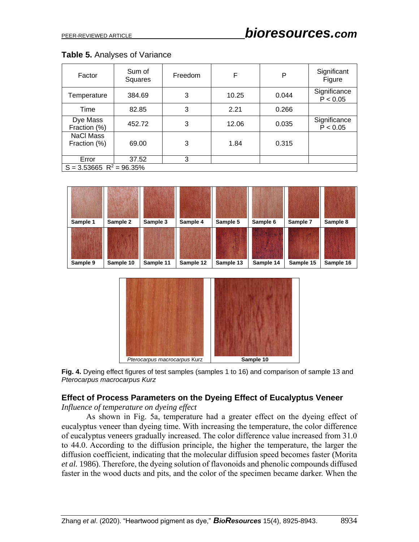| Table 5. Analyses of Variance |  |  |  |  |
|-------------------------------|--|--|--|--|
|-------------------------------|--|--|--|--|

| Factor                                | Sum of<br>Squares | Freedom | F     | Ρ     | Significant<br>Figure    |  |  |
|---------------------------------------|-------------------|---------|-------|-------|--------------------------|--|--|
| Temperature                           | 384.69            | 3       | 10.25 | 0.044 | Significance<br>P < 0.05 |  |  |
| Time                                  | 82.85             | 3       | 2.21  | 0.266 |                          |  |  |
| Dye Mass<br>Fraction (%)              | 452.72            | 3       | 12.06 | 0.035 | Significance<br>P < 0.05 |  |  |
| NaCl Mass<br>Fraction (%)             | 69.00             | 3       | 1.84  | 0.315 |                          |  |  |
| Error                                 | 37.52             | 3       |       |       |                          |  |  |
| $S = 3.53665$ R <sup>2</sup> = 96.35% |                   |         |       |       |                          |  |  |





**Fig. 4.** Dyeing effect figures of test samples (samples 1 to 16) and comparison of sample 13 and *Pterocarpus macrocarpus Kurz*

# **Effect of Process Parameters on the Dyeing Effect of Eucalyptus Veneer**

*Influence of temperature on dyeing effect*

As shown in Fig. 5a, temperature had a greater effect on the dyeing effect of eucalyptus veneer than dyeing time. With increasing the temperature, the color difference of eucalyptus veneers gradually increased. The color difference value increased from 31.0 to 44.0. According to the diffusion principle, the higher the temperature, the larger the diffusion coefficient, indicating that the molecular diffusion speed becomes faster (Morita *et al.* 1986). Therefore, the dyeing solution of flavonoids and phenolic compounds diffused faster in the wood ducts and pits, and the color of the specimen became darker. When the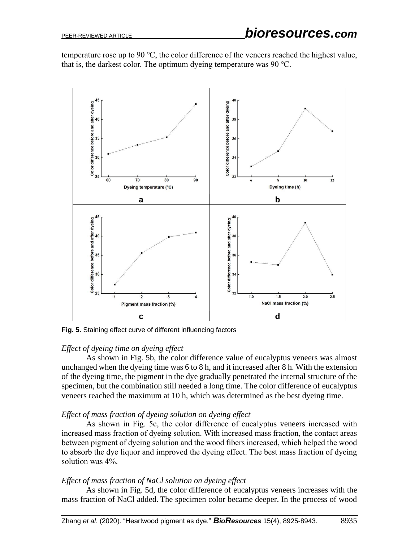temperature rose up to 90 ℃, the color difference of the veneers reached the highest value, that is, the darkest color. The optimum dyeing temperature was 90 ℃.



**Fig. 5.** Staining effect curve of different influencing factors

# *Effect of dyeing time on dyeing effect*

As shown in Fig. 5b, the color difference value of eucalyptus veneers was almost unchanged when the dyeing time was 6 to 8 h, and it increased after 8 h. With the extension of the dyeing time, the pigment in the dye gradually penetrated the internal structure of the specimen, but the combination still needed a long time. The color difference of eucalyptus veneers reached the maximum at 10 h, which was determined as the best dyeing time.

# *Effect of mass fraction of dyeing solution on dyeing effect*

As shown in Fig. 5c, the color difference of eucalyptus veneers increased with increased mass fraction of dyeing solution. With increased mass fraction, the contact areas between pigment of dyeing solution and the wood fibers increased, which helped the wood to absorb the dye liquor and improved the dyeing effect. The best mass fraction of dyeing solution was 4%.

# *Effect of mass fraction of NaCl solution on dyeing effect*

As shown in Fig. 5d, the color difference of eucalyptus veneers increases with the mass fraction of NaCl added. The specimen color became deeper. In the process of wood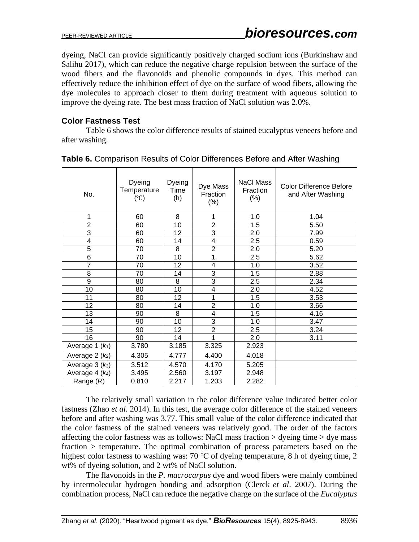dyeing, NaCl can provide significantly positively charged sodium ions (Burkinshaw and Salihu 2017), which can reduce the negative charge repulsion between the surface of the wood fibers and the flavonoids and phenolic compounds in dyes. This method can effectively reduce the inhibition effect of dye on the surface of wood fibers, allowing the dye molecules to approach closer to them during treatment with aqueous solution to improve the dyeing rate. The best mass fraction of NaCl solution was 2.0%.

# **Color Fastness Test**

Table 6 shows the color difference results of stained eucalyptus veneers before and after washing.

| No.               | Dyeing<br>Temperature<br>$(^\circ C)$ | Dyeing<br>Time<br>(h) | Dye Mass<br>Fraction<br>$(\%)$ | <b>NaCl Mass</b><br>Fraction<br>(%) | <b>Color Difference Before</b><br>and After Washing |
|-------------------|---------------------------------------|-----------------------|--------------------------------|-------------------------------------|-----------------------------------------------------|
| 1                 | 60                                    | 8                     | 1                              | 1.0                                 | 1.04                                                |
| $\overline{2}$    | 60                                    | 10                    | $\overline{2}$                 | 1.5                                 | 5.50                                                |
| $\overline{3}$    | 60                                    | 12                    | $\overline{3}$                 | 2.0                                 | 7.99                                                |
| 4                 | 60                                    | 14                    | 4                              | 2.5                                 | 0.59                                                |
| 5                 | 70                                    | 8                     | $\overline{c}$                 | 2.0                                 | 5.20                                                |
| 6                 | 70                                    | 10                    | 1                              | 2.5                                 | 5.62                                                |
| $\overline{7}$    | 70                                    | 12                    | 4                              | 1.0                                 | 3.52                                                |
| 8                 | 70                                    | 14                    | 3                              | 1.5                                 | 2.88                                                |
| $\overline{9}$    | 80                                    | 8                     | 3                              | 2.5                                 | 2.34                                                |
| 10                | 80                                    | 10                    | 4                              | 2.0                                 | 4.52                                                |
| 11                | 80                                    | 12                    | 1                              | 1.5                                 | 3.53                                                |
| 12                | 80                                    | 14                    | $\overline{c}$                 | 1.0                                 | 3.66                                                |
| 13                | 90                                    | 8                     | 4                              | 1.5                                 | 4.16                                                |
| 14                | 90                                    | 10                    | 3                              | 1.0                                 | 3.47                                                |
| 15                | 90                                    | 12                    | $\overline{2}$                 | 2.5                                 | 3.24                                                |
| 16                | 90                                    | 14                    | 1                              | 2.0                                 | 3.11                                                |
| Average $1 (k_1)$ | 3.780                                 | 3.185                 | 3.325                          | 2.923                               |                                                     |
| Average $2 (k_2)$ | 4.305                                 | 4.777                 | 4.400                          | 4.018                               |                                                     |
| Average $3 (k_3)$ | 3.512                                 | 4.570                 | 4.170                          | 5.205                               |                                                     |
| Average $4(k_4)$  | 3.495                                 | 2.560                 | 3.197                          | 2.948                               |                                                     |
| Range $(R)$       | 0.810                                 | 2.217                 | 1.203                          | 2.282                               |                                                     |

#### **Table 6.** Comparison Results of Color Differences Before and After Washing

The relatively small variation in the color difference value indicated better color fastness (Zhao *et al*. 2014). In this test, the average color difference of the stained veneers before and after washing was 3.77. This small value of the color difference indicated that the color fastness of the stained veneers was relatively good. The order of the factors affecting the color fastness was as follows: NaCl mass fraction  $>$  dyeing time  $>$  dye mass fraction > temperature. The optimal combination of process parameters based on the highest color fastness to washing was: 70 °C of dyeing temperature, 8 h of dyeing time, 2 wt% of dyeing solution, and 2 wt% of NaCl solution.

The flavonoids in the *P. macrocarpus* dye and wood fibers were mainly combined by intermolecular hydrogen bonding and adsorption (Clerck *et al*. 2007). During the combination process, NaCl can reduce the negative charge on the surface of the *Eucalyptus*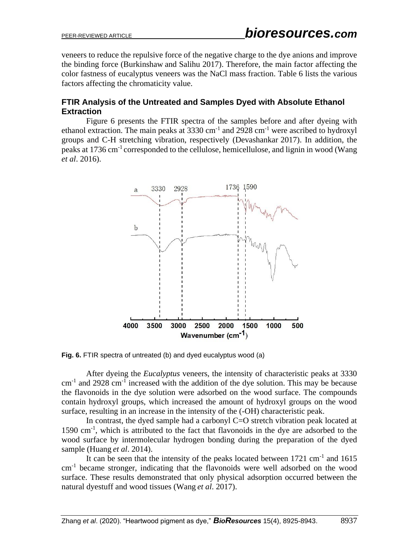veneers to reduce the repulsive force of the negative charge to the dye anions and improve the binding force (Burkinshaw and Salihu 2017). Therefore, the main factor affecting the color fastness of eucalyptus veneers was the NaCl mass fraction. Table 6 lists the various factors affecting the chromaticity value.

# **FTIR Analysis of the Untreated and Samples Dyed with Absolute Ethanol Extraction**

Figure 6 presents the FTIR spectra of the samples before and after dyeing with ethanol extraction. The main peaks at  $3330 \text{ cm}^{-1}$  and  $2928 \text{ cm}^{-1}$  were ascribed to hydroxyl groups and C-H stretching vibration, respectively (Devashankar 2017). In addition, the peaks at 1736 cm-1 corresponded to the cellulose, hemicellulose, and lignin in wood (Wang *et al*. 2016).



**Fig. 6.** FTIR spectra of untreated (b) and dyed eucalyptus wood (a)

After dyeing the *Eucalyptus* veneers, the intensity of characteristic peaks at 3330  $cm<sup>-1</sup>$  and 2928  $cm<sup>-1</sup>$  increased with the addition of the dye solution. This may be because the flavonoids in the dye solution were adsorbed on the wood surface. The compounds contain hydroxyl groups, which increased the amount of hydroxyl groups on the wood surface, resulting in an increase in the intensity of the (-OH) characteristic peak.

In contrast, the dyed sample had a carbonyl C=O stretch vibration peak located at 1590 cm-1 , which is attributed to the fact that flavonoids in the dye are adsorbed to the wood surface by intermolecular hydrogen bonding during the preparation of the dyed sample (Huang *et al*. 2014).

It can be seen that the intensity of the peaks located between 1721 cm<sup>-1</sup> and 1615 cm-1 became stronger, indicating that the flavonoids were well adsorbed on the wood surface. These results demonstrated that only physical adsorption occurred between the natural dyestuff and wood tissues (Wang *et al*. 2017).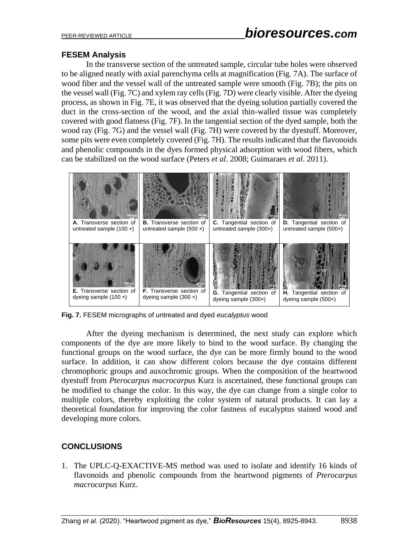# **FESEM Analysis**

In the transverse section of the untreated sample, circular tube holes were observed to be aligned neatly with axial parenchyma cells at magnification (Fig. 7A). The surface of wood fiber and the vessel wall of the untreated sample were smooth (Fig. 7B); the pits on the vessel wall (Fig. 7C) and xylem ray cells (Fig. 7D) were clearly visible. After the dyeing process, as shown in Fig. 7E, it was observed that the dyeing solution partially covered the duct in the cross-section of the wood, and the axial thin-walled tissue was completely covered with good flatness (Fig. 7F). In the tangential section of the dyed sample, both the wood ray (Fig. 7G) and the vessel wall (Fig. 7H) were covered by the dyestuff. Moreover, some pits were even completely covered (Fig. 7H). The results indicated that the flavonoids and phenolic compounds in the dyes formed physical adsorption with wood fibers, which can be stabilized on the wood surface (Peters *et al*. 2008; Guimaraes *et al*. 2011).



**Fig. 7.** FESEM micrographs of untreated and dyed *eucalyptus* wood

After the dyeing mechanism is determined, the next study can explore which components of the dye are more likely to bind to the wood surface. By changing the functional groups on the wood surface, the dye can be more firmly bound to the wood surface. In addition, it can show different colors because the dye contains different chromophoric groups and auxochromic groups. When the composition of the heartwood dyestuff from *Pterocarpus macrocarpus* Kurz is ascertained, these functional groups can be modified to change the color. In this way, the dye can change from a single color to multiple colors, thereby exploiting the color system of natural products. It can lay a theoretical foundation for improving the color fastness of eucalyptus stained wood and developing more colors.

# **CONCLUSIONS**

1. The UPLC-Q-EXACTIVE-MS method was used to isolate and identify 16 kinds of flavonoids and phenolic compounds from the heartwood pigments of *Pterocarpus macrocarpus* Kurz.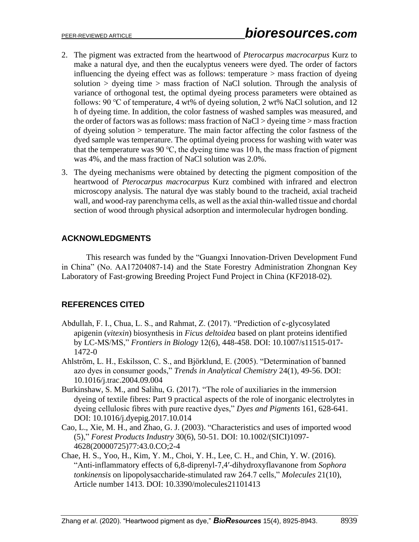- 2. The pigment was extracted from the heartwood of *Pterocarpus macrocarpus* Kurz to make a natural dye, and then the eucalyptus veneers were dyed. The order of factors influencing the dyeing effect was as follows: temperature > mass fraction of dyeing solution  $>$  dyeing time  $>$  mass fraction of NaCl solution. Through the analysis of variance of orthogonal test, the optimal dyeing process parameters were obtained as follows: 90 ℃ of temperature, 4 wt% of dyeing solution, 2 wt% NaCl solution, and 12 h of dyeing time. In addition, the color fastness of washed samples was measured, and the order of factors was as follows: mass fraction of NaCl > dyeing time > mass fraction of dyeing solution > temperature. The main factor affecting the color fastness of the dyed sample was temperature. The optimal dyeing process for washing with water was that the temperature was 90 °C, the dyeing time was 10 h, the mass fraction of pigment was 4%, and the mass fraction of NaCl solution was 2.0%.
- 3. The dyeing mechanisms were obtained by detecting the pigment composition of the heartwood of *Pterocarpus macrocarpus* Kurz combined with infrared and electron microscopy analysis. The natural dye was stably bound to the tracheid, axial tracheid wall, and wood-ray parenchyma cells, as well as the axial thin-walled tissue and chordal section of wood through physical adsorption and intermolecular hydrogen bonding.

# **ACKNOWLEDGMENTS**

This research was funded by the "Guangxi Innovation-Driven Development Fund in China" (No. AA17204087-14) and the State Forestry Administration Zhongnan Key Laboratory of Fast-growing Breeding Project Fund Project in China (KF2018-02).

# **REFERENCES CITED**

- Abdullah, F. I., Chua, L. S., and Rahmat, Z. (2017). "Prediction of c-glycosylated apigenin (*vitexin*) biosynthesis in *Ficus deltoidea* based on plant proteins identified by LC-MS/MS," *Frontiers in Biology* 12(6), 448-458. DOI: 10.1007/s11515-017- 1472-0
- Ahlström, L. H., Eskilsson, C. S., and Björklund, E. (2005). "Determination of banned azo dyes in consumer goods," *Trends in Analytical Chemistry* 24(1), 49-56. DOI: 10.1016/j.trac.2004.09.004
- Burkinshaw, S. M., and Salihu, G. (2017). "The role of auxiliaries in the immersion dyeing of textile fibres: Part 9 practical aspects of the role of inorganic electrolytes in dyeing cellulosic fibres with pure reactive dyes," *Dyes and Pigments* 161, 628-641. DOI: 10.1016/j.dyepig.2017.10.014
- Cao, L., Xie, M. H., and Zhao, G. J. (2003). "Characteristics and uses of imported wood (5)," *Forest Products Industry* 30(6), 50-51. DOI: 10.1002/(SICI)1097- 4628(20000725)77:43.0.CO;2-4
- Chae, H. S., Yoo, H., Kim, Y. M., Choi, Y. H., Lee, C. H., and Chin, Y. W. (2016). "Anti-inflammatory effects of 6,8-diprenyl-7,4′-dihydroxyflavanone from *Sophora tonkinensis* on lipopolysaccharide-stimulated raw 264.7 cells," *Molecules* 21(10), Article number 1413. DOI: 10.3390/molecules21101413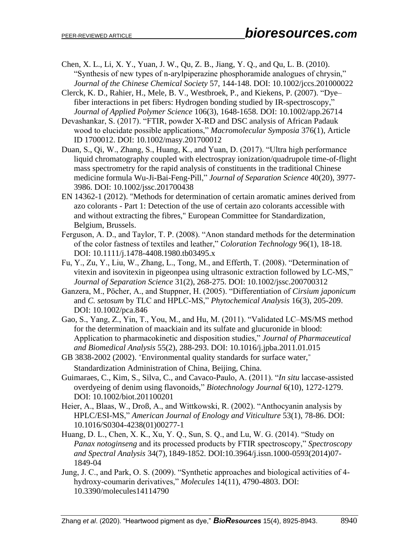- Chen, X. L., Li, X. Y., Yuan, J. W., Qu, Z. B., Jiang, Y. Q., and Qu, L. B. (2010). "Synthesis of new types of n‐arylpiperazine phosphoramide analogues of chrysin," *Journal of the Chinese Chemical Society* 57, 144-148. DOI: 10.1002/jccs.201000022
- Clerck, K. D., Rahier, H., Mele, B. V., Westbroek, P., and Kiekens, P. (2007). "Dye– fiber interactions in pet fibers: Hydrogen bonding studied by IR-spectroscopy," *Journal of Applied Polymer Science* 106(3), 1648-1658. DOI: 10.1002/app.26714
- Devashankar, S. (2017). "FTIR, powder X-RD and DSC analysis of African Padauk wood to elucidate possible applications," *Macromolecular Symposia* 376(1), Article ID 1700012. DOI: 10.1002/masy.201700012
- Duan, S., Qi, W., Zhang, S., Huang, K., and Yuan, D. (2017). "Ultra high performance liquid chromatography coupled with electrospray ionization/quadrupole time-of-flight mass spectrometry for the rapid analysis of constituents in the traditional Chinese medicine formula Wu-Ji-Bai-Feng-Pill," *Journal of Separation Science* 40(20), 3977- 3986. DOI: 10.1002/jssc.201700438
- EN 14362-1 (2012). "Methods for determination of certain aromatic amines derived from azo colorants - Part 1: Detection of the use of certain azo colorants accessible with and without extracting the fibres," European Committee for Standardization, Belgium, Brussels.
- Ferguson, A. D., and Taylor, T. P. (2008). "Anon standard methods for the determination of the color fastness of textiles and leather," *Coloration Technology* 96(1), 18-18. DOI: 10.1111/j.1478-4408.1980.tb03495.x
- Fu, Y., Zu, Y., Liu, W., Zhang, L., Tong, M., and Efferth, T. (2008). "Determination of vitexin and isovitexin in pigeonpea using ultrasonic extraction followed by LC-MS," *Journal of Separation Science* 31(2), 268-275. DOI: 10.1002/jssc.200700312
- Ganzera, M., Pöcher, A., and Stuppner, H. (2005). "Differentiation of *Cirsium japonicum* and *C. setosum* by TLC and HPLC‐MS," *Phytochemical Analysis* 16(3), 205-209. DOI: 10.1002/pca.846
- Gao, S., Yang, Z., Yin, T., You, M., and Hu, M. (2011). "Validated LC–MS/MS method for the determination of maackiain and its sulfate and glucuronide in blood: Application to pharmacokinetic and disposition studies," *Journal of Pharmaceutical and Biomedical Analysis* 55(2), 288-293. DOI: 10.1016/j.jpba.2011.01.015
- GB 3838-2002 (2002). "Environmental quality standards for surface water," Standardization Administration of China, Beijing, China.
- Guimaraes, C., Kim, S., Silva, C., and Cavaco-Paulo, A. (2011). "*In situ* laccase-assisted overdyeing of denim using flavonoids," *Biotechnology Journal* 6(10), 1272-1279. DOI: 10.1002/biot.201100201
- Heier, A., Blaas, W., Droß, A., and Wittkowski, R. (2002). "Anthocyanin analysis by HPLC/ESI-MS," *American Journal of Enology and Viticulture* 53(1), 78-86. DOI: 10.1016/S0304-4238(01)00277-1
- Huang, D. L., Chen, X. K., Xu, Y. Q., Sun, S. Q., and Lu, W. G. (2014). "Study on *Panax notoginseng* and its processed products by FTIR spectroscopy," *Spectroscopy and Spectral Analysis* 34(7), 1849-1852. DOI:10.3964/j.issn.1000-0593(2014)07- 1849-04
- Jung, J. C., and Park, O. S. (2009). "Synthetic approaches and biological activities of 4 hydroxy-coumarin derivatives," *Molecules* 14(11), 4790-4803. DOI: 10.3390/molecules14114790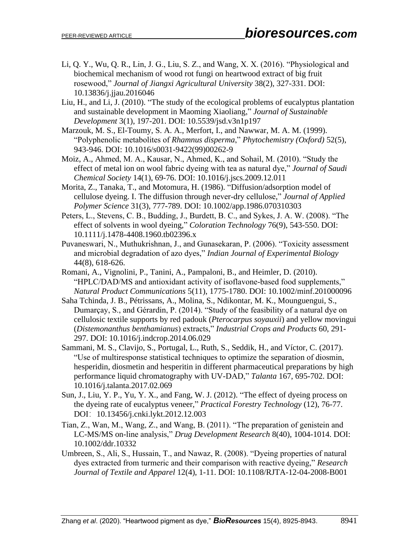- Li, Q. Y., Wu, Q. R., Lin, J. G., Liu, S. Z., and Wang, X. X. (2016). "Physiological and biochemical mechanism of wood rot fungi on heartwood extract of big fruit rosewood," *Journal of Jiangxi Agricultural University* 38(2), 327-331. DOI: 10.13836/j.jjau.2016046
- Liu, H., and Li, J. (2010). "The study of the ecological problems of eucalyptus plantation and sustainable development in Maoming Xiaoliang," *Journal of Sustainable Development* 3(1), 197-201. DOI: 10.5539/jsd.v3n1p197
- Marzouk, M. S., El-Toumy, S. A. A., Merfort, I., and Nawwar, M. A. M. (1999). "Polyphenolic metabolites of *Rhamnus disperma*," *Phytochemistry (Oxford)* 52(5), 943-946. DOI: 10.1016/s0031-9422(99)00262-9
- Moiz, A., Ahmed, M. A., Kausar, N., Ahmed, K., and Sohail, M. (2010). "Study the effect of metal ion on wool fabric dyeing with tea as natural dye," *Journal of Saudi Chemical Society* 14(1), 69-76. DOI: 10.1016/j.jscs.2009.12.011
- Morita, Z., Tanaka, T., and Motomura, H. (1986). "Diffusion/adsorption model of cellulose dyeing. I. The diffusion through never‐dry cellulose," *Journal of Applied Polymer Science* 31(3), 777-789. DOI: 10.1002/app.1986.070310303
- Peters, L., Stevens, C. B., Budding, J., Burdett, B. C., and Sykes, J. A. W. (2008). "The effect of solvents in wool dyeing," *Coloration Technology* 76(9), 543-550. DOI: 10.1111/j.1478-4408.1960.tb02396.x
- Puvaneswari, N., Muthukrishnan, J., and Gunasekaran, P. (2006). "Toxicity assessment and microbial degradation of azo dyes," *Indian Journal of Experimental Biology* 44(8), 618-626.
- Romani, A., Vignolini, P., Tanini, A., Pampaloni, B., and Heimler, D. (2010). "HPLC/DAD/MS and antioxidant activity of isoflavone-based food supplements," *Natural Product Communications* 5(11), 1775-1780. DOI: 10.1002/minf.201000096
- Saha Tchinda, J. B., Pétrissans, A., Molina, S., Ndikontar, M. K., Mounguengui, S., Dumarçay, S., and Gérardin, P. (2014). "Study of the feasibility of a natural dye on cellulosic textile supports by red padouk (*Pterocarpus soyauxii*) and yellow movingui (*Distemonanthus benthamianus*) extracts," *Industrial Crops and Products* 60, 291- 297. DOI: 10.1016/j.indcrop.2014.06.029
- Sammani, M. S., Clavijo, S., Portugal, L., Ruth, S., Seddik, H., and Víctor, C. (2017). "Use of multiresponse statistical techniques to optimize the separation of diosmin, hesperidin, diosmetin and hesperitin in different pharmaceutical preparations by high performance liquid chromatography with UV-DAD," *Talanta* 167, 695-702. DOI: 10.1016/j.talanta.2017.02.069
- Sun, J., Liu, Y. P., Yu, Y. X., and Fang, W. J. (2012). "The effect of dyeing process on the dyeing rate of eucalyptus veneer," *Practical Forestry Technology* (12), 76-77. DOI:10.13456/j.cnki.lykt.2012.12.003
- Tian, Z., Wan, M., Wang, Z., and Wang, B. (2011). "The preparation of genistein and LC-MS/MS on-line analysis," *Drug Development Research* 8(40), 1004-1014. DOI: 10.1002/ddr.10332
- Umbreen, S., Ali, S., Hussain, T., and Nawaz, R. (2008). "Dyeing properties of natural dyes extracted from turmeric and their comparison with reactive dyeing," *Research Journal of Textile and Apparel* 12(4), 1-11. DOI: 10.1108/RJTA-12-04-2008-B001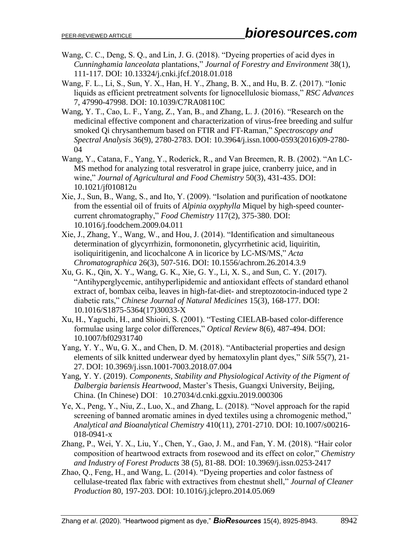- Wang, C. C., Deng, S. Q., and Lin, J. G. (2018). "Dyeing properties of acid dyes in *Cunninghamia lanceolata* plantations," *Journal of Forestry and Environment* 38(1), 111-117. DOI: 10.13324/j.cnki.jfcf.2018.01.018
- Wang, F. L., Li, S., Sun, Y. X., Han, H. Y., Zhang, B. X., and Hu, B. Z. (2017). "Ionic liquids as efficient pretreatment solvents for lignocellulosic biomass," *RSC Advances* 7, 47990-47998. DOI: 10.1039/C7RA08110C
- Wang, Y. T., Cao, L. F., Yang, Z., Yan, B., and Zhang, L. J. (2016). "Research on the medicinal effective component and characterization of virus-free breeding and sulfur smoked Qi chrysanthemum based on FTIR and FT-Raman," *Spectroscopy and Spectral Analysis* 36(9), 2780-2783. DOI: 10.3964/j.issn.1000-0593(2016)09-2780- 04
- Wang, Y., Catana, F., Yang, Y., Roderick, R., and Van Breemen, R. B. (2002). "An LC-MS method for analyzing total resveratrol in grape juice, cranberry juice, and in wine," *Journal of Agricultural and Food Chemistry* 50(3), 431-435. DOI: 10.1021/jf010812u
- Xie, J., Sun, B., Wang, S., and Ito, Y. (2009). "Isolation and purification of nootkatone from the essential oil of fruits of *Alpinia oxyphylla* Miquel by high-speed countercurrent chromatography," *Food Chemistry* 117(2), 375-380. DOI: 10.1016/j.foodchem.2009.04.011
- Xie, J., Zhang, Y., Wang, W., and Hou, J. (2014). "Identification and simultaneous determination of glycyrrhizin, formononetin, glycyrrhetinic acid, liquiritin, isoliquiritigenin, and licochalcone A in licorice by LC-MS/MS," *Acta Chromatographica* 26(3), 507-516. DOI: 10.1556/achrom.26.2014.3.9
- Xu, G. K., Qin, X. Y., Wang, G. K., Xie, G. Y., Li, X. S., and Sun, C. Y. (2017). "Antihyperglycemic, antihyperlipidemic and antioxidant effects of standard ethanol extract of, bombax ceiba, leaves in high-fat-diet- and streptozotocin-induced type 2 diabetic rats," *Chinese Journal of Natural Medicines* 15(3), 168-177. DOI: 10.1016/S1875-5364(17)30033-X
- Xu, H., Yaguchi, H., and Shioiri, S. (2001). "Testing CIELAB-based color-difference formulae using large color differences," *Optical Review* 8(6), 487-494. DOI: 10.1007/bf02931740
- Yang, Y. Y., Wu, G. X., and Chen, D. M. (2018). "Antibacterial properties and design elements of silk knitted underwear dyed by hematoxylin plant dyes," *Silk* 55(7), 21- 27. DOI: 10.3969/j.issn.1001-7003.2018.07.004
- Yang, Y. Y. (2019). *Components, Stability and Physiological Activity of the Pigment of Dalbergia bariensis Heartwood*, Master's Thesis, Guangxi University, Beijing, China. (In Chinese) DOI:10.27034/d.cnki.ggxiu.2019.000306
- Ye, X., Peng, Y., Niu, Z., Luo, X., and Zhang, L. (2018). "Novel approach for the rapid screening of banned aromatic amines in dyed textiles using a chromogenic method," *Analytical and Bioanalytical Chemistry* 410(11), 2701-2710. DOI: 10.1007/s00216- 018-0941-x
- Zhang, P., Wei, Y. X., Liu, Y., Chen, Y., Gao, J. M., and Fan, Y. M. (2018). "Hair color composition of heartwood extracts from rosewood and its effect on color," *Chemistry and Industry of Forest Products* 38 (5), 81-88. DOI: 10.3969/j.issn.0253-2417
- Zhao, Q., Feng, H., and Wang, L. (2014). "Dyeing properties and color fastness of cellulase-treated flax fabric with extractives from chestnut shell," *Journal of Cleaner Production* 80, 197-203. DOI: 10.1016/j.jclepro.2014.05.069